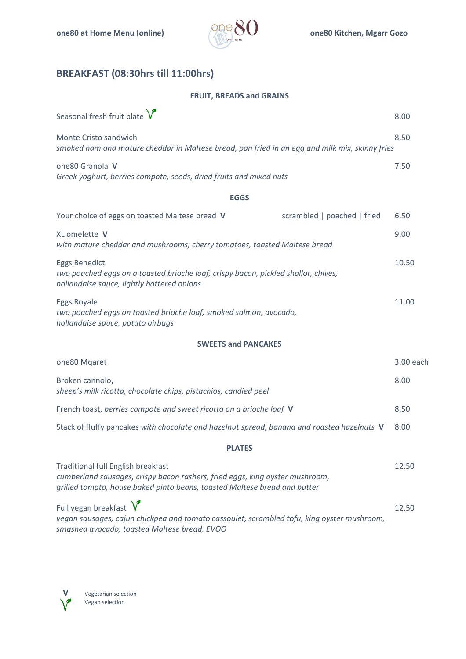

# **BREAKFAST (08:30hrs till 11:00hrs)**

#### **FRUIT, BREADS and GRAINS**

| Seasonal fresh fruit plate $\sqrt{\ }$                                                                                                                                                                 | 8.00      |
|--------------------------------------------------------------------------------------------------------------------------------------------------------------------------------------------------------|-----------|
| Monte Cristo sandwich<br>smoked ham and mature cheddar in Maltese bread, pan fried in an egg and milk mix, skinny fries                                                                                | 8.50      |
| one80 Granola V<br>Greek yoghurt, berries compote, seeds, dried fruits and mixed nuts                                                                                                                  | 7.50      |
| <b>EGGS</b>                                                                                                                                                                                            |           |
| Your choice of eggs on toasted Maltese bread V<br>scrambled   poached   fried                                                                                                                          | 6.50      |
| XL omelette V<br>with mature cheddar and mushrooms, cherry tomatoes, toasted Maltese bread                                                                                                             | 9.00      |
| <b>Eggs Benedict</b><br>two poached eggs on a toasted brioche loaf, crispy bacon, pickled shallot, chives,<br>hollandaise sauce, lightly battered onions                                               | 10.50     |
| <b>Eggs Royale</b><br>two poached eggs on toasted brioche loaf, smoked salmon, avocado,<br>hollandaise sauce, potato airbags                                                                           | 11.00     |
| <b>SWEETS and PANCAKES</b>                                                                                                                                                                             |           |
| one80 Mqaret                                                                                                                                                                                           | 3.00 each |
| Broken cannolo,<br>sheep's milk ricotta, chocolate chips, pistachios, candied peel                                                                                                                     | 8.00      |
| French toast, berries compote and sweet ricotta on a brioche loaf V                                                                                                                                    | 8.50      |
| Stack of fluffy pancakes with chocolate and hazelnut spread, banana and roasted hazelnuts V                                                                                                            | 8.00      |
| <b>PLATES</b>                                                                                                                                                                                          |           |
| <b>Traditional full English breakfast</b><br>cumberland sausages, crispy bacon rashers, fried eggs, king oyster mushroom,<br>grilled tomato, house baked pinto beans, toasted Maltese bread and butter | 12.50     |
| Full vegan breakfast $\sqrt{\ }$                                                                                                                                                                       | 12.50     |

*vegan sausages, cajun chickpea and tomato cassoulet, scrambled tofu, king oyster mushroom, smashed avocado, toasted Maltese bread, EVOO*

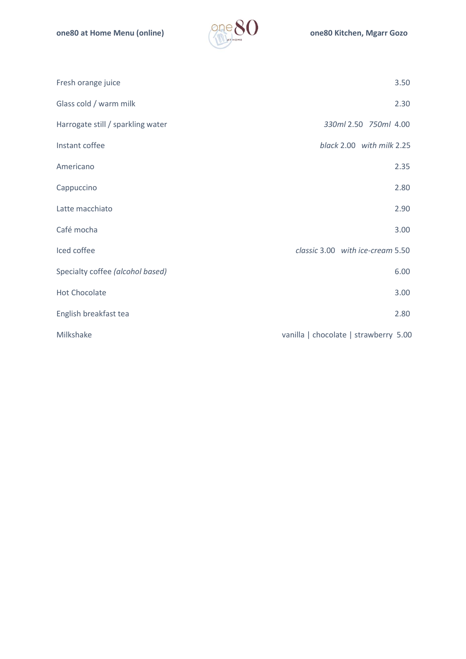

| Fresh orange juice                | 3.50                                  |
|-----------------------------------|---------------------------------------|
| Glass cold / warm milk            | 2.30                                  |
| Harrogate still / sparkling water | 330ml 2.50 750ml 4.00                 |
| Instant coffee                    | black 2.00 with milk 2.25             |
| Americano                         | 2.35                                  |
| Cappuccino                        | 2.80                                  |
| Latte macchiato                   | 2.90                                  |
| Café mocha                        | 3.00                                  |
| Iced coffee                       | classic 3.00 with ice-cream 5.50      |
| Specialty coffee (alcohol based)  | 6.00                                  |
| <b>Hot Chocolate</b>              | 3.00                                  |
| English breakfast tea             | 2.80                                  |
| Milkshake                         | vanilla   chocolate   strawberry 5.00 |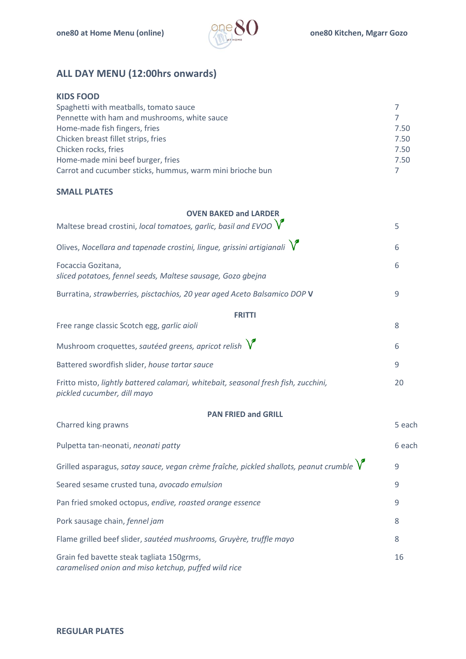

# **ALL DAY MENU (12:00hrs onwards)**

| <b>KIDS FOOD</b>                                          |      |
|-----------------------------------------------------------|------|
| Spaghetti with meatballs, tomato sauce                    |      |
| Pennette with ham and mushrooms, white sauce              |      |
| Home-made fish fingers, fries                             | 7.50 |
| Chicken breast fillet strips, fries                       | 7.50 |
| Chicken rocks, fries                                      | 7.50 |
| Home-made mini beef burger, fries                         | 7.50 |
| Carrot and cucumber sticks, hummus, warm mini brioche bun |      |

#### **SMALL PLATES**

| <b>OVEN BAKED and LARDER</b>                                                                                      |        |
|-------------------------------------------------------------------------------------------------------------------|--------|
| Maltese bread crostini, local tomatoes, garlic, basil and EVOO $\sqrt{\ }$                                        | 5      |
| Olives, Nocellara and tapenade crostini, lingue, grissini artigianali $\sqrt{\ }$                                 | 6      |
| Focaccia Gozitana,<br>sliced potatoes, fennel seeds, Maltese sausage, Gozo gbejna                                 | 6      |
| Burratina, strawberries, pisctachios, 20 year aged Aceto Balsamico DOP V                                          | 9      |
| <b>FRITTI</b>                                                                                                     |        |
| Free range classic Scotch egg, garlic aioli                                                                       | 8      |
| Mushroom croquettes, sautéed greens, apricot relish $\sqrt{\ }$                                                   | 6      |
| Battered swordfish slider, house tartar sauce                                                                     | 9      |
| Fritto misto, lightly battered calamari, whitebait, seasonal fresh fish, zucchini,<br>pickled cucumber, dill mayo | 20     |
| <b>PAN FRIED and GRILL</b>                                                                                        |        |
| Charred king prawns                                                                                               | 5 each |
| Pulpetta tan-neonati, neonati patty                                                                               | 6 each |
| Grilled asparagus, satay sauce, vegan crème fraîche, pickled shallots, peanut crumble $\sqrt{\ }$                 | 9      |
| Seared sesame crusted tuna, avocado emulsion                                                                      | 9      |
| Pan fried smoked octopus, endive, roasted orange essence                                                          | 9      |
| Pork sausage chain, fennel jam                                                                                    | 8      |
| Flame grilled beef slider, sautéed mushrooms, Gruyère, truffle mayo                                               | 8      |
| Grain fed bavette steak tagliata 150grms,<br>caramelised onion and miso ketchup, puffed wild rice                 | 16     |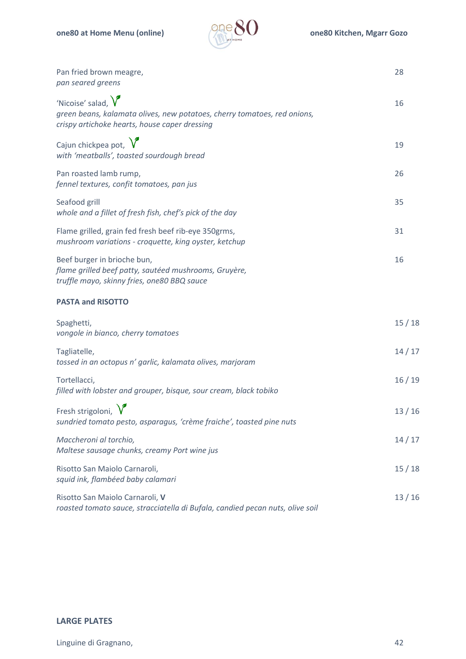

| Pan fried brown meagre,<br>pan seared greens                                                                                                              | 28    |
|-----------------------------------------------------------------------------------------------------------------------------------------------------------|-------|
| 'Nicoise' salad, $\sqrt{\ }$<br>green beans, kalamata olives, new potatoes, cherry tomatoes, red onions,<br>crispy artichoke hearts, house caper dressing | 16    |
| Cajun chickpea pot, $\sqrt{\ }$<br>with 'meatballs', toasted sourdough bread                                                                              | 19    |
| Pan roasted lamb rump,<br>fennel textures, confit tomatoes, pan jus                                                                                       | 26    |
| Seafood grill<br>whole and a fillet of fresh fish, chef's pick of the day                                                                                 | 35    |
| Flame grilled, grain fed fresh beef rib-eye 350grms,<br>mushroom variations - croquette, king oyster, ketchup                                             | 31    |
| Beef burger in brioche bun,<br>flame grilled beef patty, sautéed mushrooms, Gruyère,<br>truffle mayo, skinny fries, one80 BBQ sauce                       | 16    |
| <b>PASTA and RISOTTO</b>                                                                                                                                  |       |
| Spaghetti,<br>vongole in bianco, cherry tomatoes                                                                                                          | 15/18 |
| Tagliatelle,<br>tossed in an octopus n' garlic, kalamata olives, marjoram                                                                                 | 14/17 |
| Tortellacci,<br>filled with lobster and grouper, bisque, sour cream, black tobiko                                                                         | 16/19 |
| Fresh strigoloni, $\sqrt{\ }$<br>sundried tomato pesto, asparagus, 'crème fraiche', toasted pine nuts                                                     | 13/16 |
| Maccheroni al torchio,<br>Maltese sausage chunks, creamy Port wine jus                                                                                    | 14/17 |
| Risotto San Maiolo Carnaroli,<br>squid ink, flambéed baby calamari                                                                                        | 15/18 |
| Risotto San Maiolo Carnaroli, V<br>roasted tomato sauce, stracciatella di Bufala, candied pecan nuts, olive soil                                          | 13/16 |

#### **LARGE PLATES**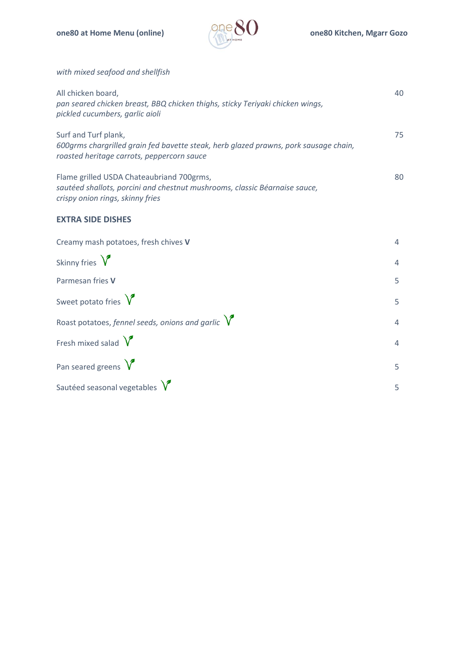

*with mixed seafood and shellfish*

| All chicken board,<br>pan seared chicken breast, BBQ chicken thighs, sticky Teriyaki chicken wings,<br>pickled cucumbers, garlic aioli                      | 40 |
|-------------------------------------------------------------------------------------------------------------------------------------------------------------|----|
| Surf and Turf plank,<br>600grms chargrilled grain fed bavette steak, herb glazed prawns, pork sausage chain,<br>roasted heritage carrots, peppercorn sauce  | 75 |
| Flame grilled USDA Chateaubriand 700grms,<br>sautéed shallots, porcini and chestnut mushrooms, classic Béarnaise sauce,<br>crispy onion rings, skinny fries | 80 |

#### **EXTRA SIDE DISHES**

| Creamy mash potatoes, fresh chives V                        | $\overline{4}$ |
|-------------------------------------------------------------|----------------|
| Skinny fries $\sqrt{\ }$                                    | $\overline{4}$ |
| Parmesan fries V                                            | 5              |
| Sweet potato fries $\sqrt{\ }$                              | 5              |
| Roast potatoes, fennel seeds, onions and garlic $\sqrt{\ }$ | $\overline{4}$ |
| Fresh mixed salad $\sqrt{\ }$                               | $\overline{4}$ |
| Pan seared greens $\sqrt{\ }$                               | 5              |
| Sautéed seasonal vegetables $\sqrt{\ }$                     | 5              |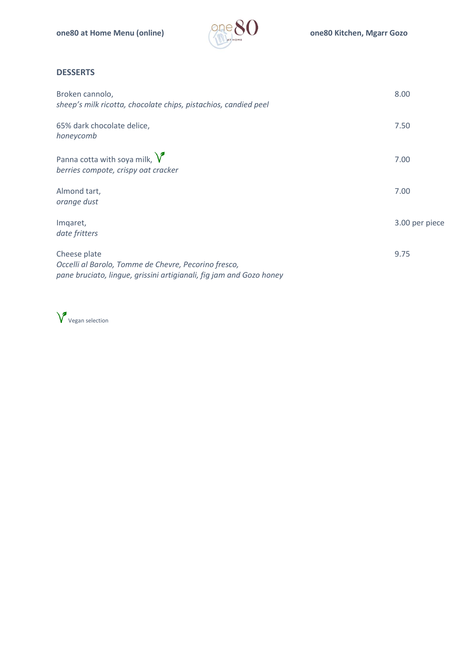

#### **DESSERTS**

| Broken cannolo,<br>sheep's milk ricotta, chocolate chips, pistachios, candied peel                                                          | 8.00           |
|---------------------------------------------------------------------------------------------------------------------------------------------|----------------|
| 65% dark chocolate delice,<br>honeycomb                                                                                                     | 7.50           |
| Panna cotta with soya milk, $\sqrt{\ }$<br>berries compote, crispy oat cracker                                                              | 7.00           |
| Almond tart,<br>orange dust                                                                                                                 | 7.00           |
| Imqaret,<br>date fritters                                                                                                                   | 3.00 per piece |
| Cheese plate<br>Occelli al Barolo, Tomme de Chevre, Pecorino fresco,<br>pane bruciato, lingue, grissini artigianali, fig jam and Gozo honey | 9.75           |

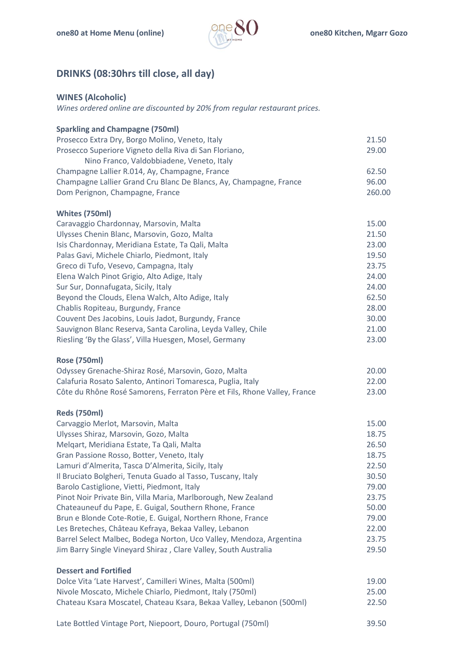

## **DRINKS (08:30hrs till close, all day)**

#### **WINES (Alcoholic)**

*Wines ordered online are discounted by 20% from regular restaurant prices.*

| <b>Sparkling and Champagne (750ml)</b>                                   |        |
|--------------------------------------------------------------------------|--------|
| Prosecco Extra Dry, Borgo Molino, Veneto, Italy                          | 21.50  |
| Prosecco Superiore Vigneto della Riva di San Floriano,                   | 29.00  |
| Nino Franco, Valdobbiadene, Veneto, Italy                                |        |
| Champagne Lallier R.014, Ay, Champagne, France                           | 62.50  |
| Champagne Lallier Grand Cru Blanc De Blancs, Ay, Champagne, France       | 96.00  |
| Dom Perignon, Champagne, France                                          | 260.00 |
| Whites (750ml)                                                           |        |
| Caravaggio Chardonnay, Marsovin, Malta                                   | 15.00  |
| Ulysses Chenin Blanc, Marsovin, Gozo, Malta                              | 21.50  |
| Isis Chardonnay, Meridiana Estate, Ta Qali, Malta                        | 23.00  |
| Palas Gavi, Michele Chiarlo, Piedmont, Italy                             | 19.50  |
| Greco di Tufo, Vesevo, Campagna, Italy                                   | 23.75  |
| Elena Walch Pinot Grigio, Alto Adige, Italy                              | 24.00  |
| Sur Sur, Donnafugata, Sicily, Italy                                      | 24.00  |
| Beyond the Clouds, Elena Walch, Alto Adige, Italy                        | 62.50  |
| Chablis Ropiteau, Burgundy, France                                       | 28.00  |
| Couvent Des Jacobins, Louis Jadot, Burgundy, France                      | 30.00  |
| Sauvignon Blanc Reserva, Santa Carolina, Leyda Valley, Chile             | 21.00  |
| Riesling 'By the Glass', Villa Huesgen, Mosel, Germany                   | 23.00  |
| <b>Rose (750ml)</b>                                                      |        |
| Odyssey Grenache-Shiraz Rosé, Marsovin, Gozo, Malta                      | 20.00  |
| Calafuria Rosato Salento, Antinori Tomaresca, Puglia, Italy              | 22.00  |
| Côte du Rhône Rosé Samorens, Ferraton Père et Fils, Rhone Valley, France | 23.00  |
| <b>Reds (750ml)</b>                                                      |        |
| Carvaggio Merlot, Marsovin, Malta                                        | 15.00  |
| Ulysses Shiraz, Marsovin, Gozo, Malta                                    | 18.75  |
| Melgart, Meridiana Estate, Ta Qali, Malta                                | 26.50  |
| Gran Passione Rosso, Botter, Veneto, Italy                               | 18.75  |
| Lamuri d'Almerita, Tasca D'Almerita, Sicily, Italy                       | 22.50  |
| Il Bruciato Bolgheri, Tenuta Guado al Tasso, Tuscany, Italy              | 30.50  |
| Barolo Castiglione, Vietti, Piedmont, Italy                              | 79.00  |
| Pinot Noir Private Bin, Villa Maria, Marlborough, New Zealand            | 23.75  |
| Chateauneuf du Pape, E. Guigal, Southern Rhone, France                   | 50.00  |
| Brun e Blonde Cote-Rotie, E. Guigal, Northern Rhone, France              | 79.00  |
| Les Breteches, Château Kefraya, Bekaa Valley, Lebanon                    | 22.00  |
| Barrel Select Malbec, Bodega Norton, Uco Valley, Mendoza, Argentina      | 23.75  |
| Jim Barry Single Vineyard Shiraz, Clare Valley, South Australia          | 29.50  |
| <b>Dessert and Fortified</b>                                             |        |
| Dolce Vita 'Late Harvest', Camilleri Wines, Malta (500ml)                | 19.00  |
| Nivole Moscato, Michele Chiarlo, Piedmont, Italy (750ml)                 | 25.00  |
| Chateau Ksara Moscatel, Chateau Ksara, Bekaa Valley, Lebanon (500ml)     | 22.50  |
| Late Bottled Vintage Port, Niepoort, Douro, Portugal (750ml)             | 39.50  |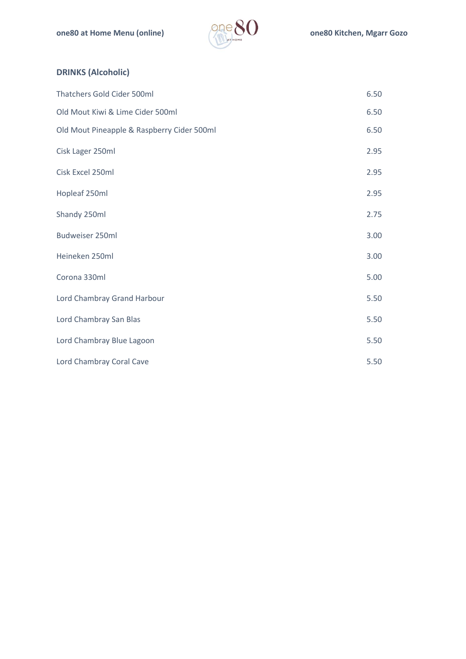

### **DRINKS (Alcoholic)**

| Thatchers Gold Cider 500ml                 | 6.50 |
|--------------------------------------------|------|
| Old Mout Kiwi & Lime Cider 500ml           | 6.50 |
| Old Mout Pineapple & Raspberry Cider 500ml | 6.50 |
| Cisk Lager 250ml                           | 2.95 |
| Cisk Excel 250ml                           | 2.95 |
| Hopleaf 250ml                              | 2.95 |
| Shandy 250ml                               | 2.75 |
| Budweiser 250ml                            | 3.00 |
| Heineken 250ml                             | 3.00 |
| Corona 330ml                               | 5.00 |
| Lord Chambray Grand Harbour                | 5.50 |
| Lord Chambray San Blas                     | 5.50 |
| Lord Chambray Blue Lagoon                  | 5.50 |
| Lord Chambray Coral Cave                   | 5.50 |